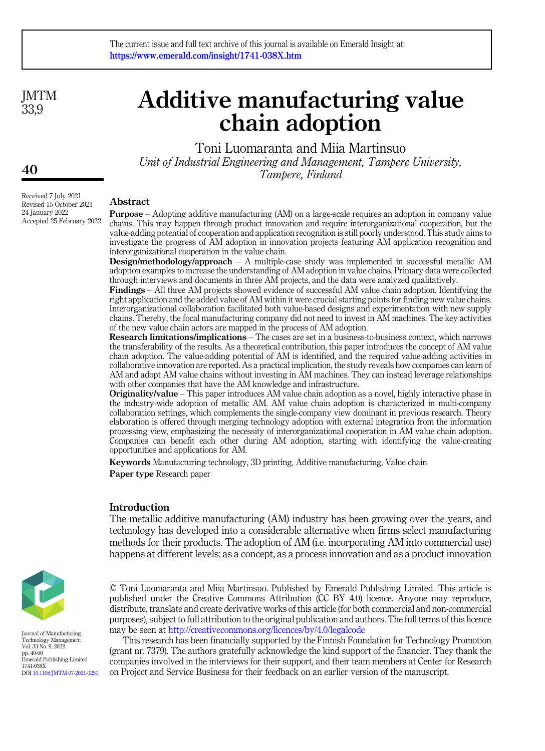**IMTM** 33,9

# Additive manufacturing value chain adoption

Toni Luomaranta and Miia Martinsuo Unit of Industrial Engineering and Management, Tampere University, Tampere, Finland

Abstract

Purpose – Adopting additive manufacturing (AM) on a large-scale requires an adoption in company value chains. This may happen through product innovation and require interorganizational cooperation, but the value-adding potential of cooperation and application recognition is still poorly understood. This study aims to investigate the progress of AM adoption in innovation projects featuring AM application recognition and interorganizational cooperation in the value chain.

Design/methodology/approach – A multiple-case study was implemented in successful metallic AM adoption examples to increase the understanding of AM adoption in value chains. Primary data were collected through interviews and documents in three AM projects, and the data were analyzed qualitatively.

Findings – All three AM projects showed evidence of successful AM value chain adoption. Identifying the right application and the added value of AM within it were crucial starting points for finding new value chains. Interorganizational collaboration facilitated both value-based designs and experimentation with new supply chains. Thereby, the focal manufacturing company did not need to invest in AM machines. The key activities of the new value chain actors are mapped in the process of AM adoption.

Research limitations/implications – The cases are set in a business-to-business context, which narrows the transferability of the results. As a theoretical contribution, this paper introduces the concept of AM value chain adoption. The value-adding potential of AM is identified, and the required value-adding activities in collaborative innovation are reported. As a practical implication, the study reveals how companies can learn of AM and adopt AM value chains without investing in AM machines. They can instead leverage relationships with other companies that have the AM knowledge and infrastructure.

Originality/value – This paper introduces AM value chain adoption as a novel, highly interactive phase in the industry-wide adoption of metallic AM. AM value chain adoption is characterized in multi-company collaboration settings, which complements the single-company view dominant in previous research. Theory elaboration is offered through merging technology adoption with external integration from the information processing view, emphasizing the necessity of interorganizational cooperation in AM value chain adoption. Companies can benefit each other during AM adoption, starting with identifying the value-creating opportunities and applications for AM.

Keywords Manufacturing technology, 3D printing, Additive manufacturing, Value chain Paper type Research paper

#### Introduction

The metallic additive manufacturing (AM) industry has been growing over the years, and technology has developed into a considerable alternative when firms select manufacturing methods for their products. The adoption of AM (i.e. incorporating AM into commercial use) happens at different levels: as a concept, as a process innovation and as a product innovation



Journal of Manufacturing Technology Management Vol. 33 No. 9, 2022 pp. 40-60 Emerald Publishing Limited 1741-038X DOI [10.1108/JMTM-07-2021-0250](https://doi.org/10.1108/JMTM-07-2021-0250)

This research has been financially supported by the Finnish Foundation for Technology Promotion (grant nr. 7379). The authors gratefully acknowledge the kind support of the financier. They thank the companies involved in the interviews for their support, and their team members at Center for Research on Project and Service Business for their feedback on an earlier version of the manuscript.

40

Received 7 July 2021 Revised 15 October 2021 24 January 2022 Accepted 25 February 2022

<sup>©</sup> Toni Luomaranta and Miia Martinsuo. Published by Emerald Publishing Limited. This article is published under the Creative Commons Attribution (CC BY 4.0) licence. Anyone may reproduce, distribute, translate and create derivative works of this article (for both commercial and non-commercial purposes), subject to full attribution to the original publication and authors. The full terms of this licence may be seen at <http://creativecommons.org/licences/by/4.0/legalcode>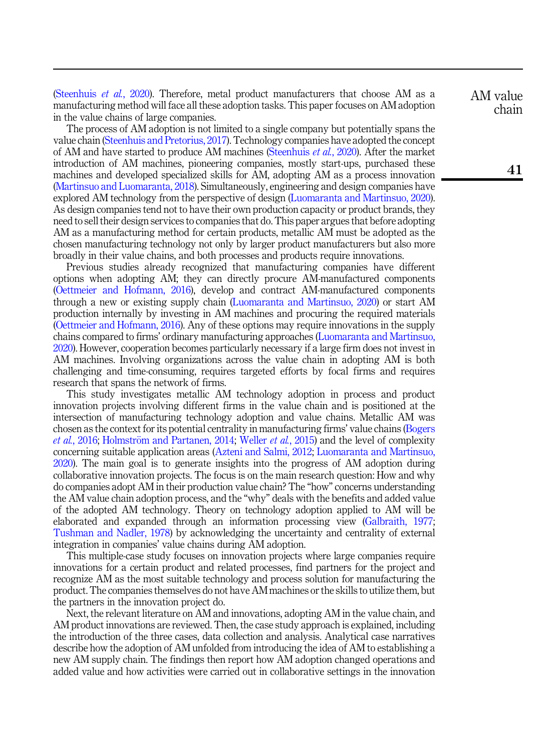([Steenhuis](#page-19-0) et al., 2020). Therefore, metal product manufacturers that choose AM as a manufacturing method will face all these adoption tasks. This paper focuses on AM adoption in the value chains of large companies.

The process of AM adoption is not limited to a single company but potentially spans the value chain ([Steenhuis and Pretorius, 2017](#page-19-1)). Technology companies have adopted the concept of AM and have started to produce AM machines ([Steenhuis](#page-19-0) et al., 2020). After the market introduction of AM machines, pioneering companies, mostly start-ups, purchased these machines and developed specialized skills for AM, adopting AM as a process innovation ([Martinsuo and Luomaranta, 2018\)](#page-18-0). Simultaneously, engineering and design companies have explored AM technology from the perspective of design [\(Luomaranta and Martinsuo, 2020\)](#page-18-1). As design companies tend not to have their own production capacity or product brands, they need to sell their design services to companies that do. This paper argues that before adopting AM as a manufacturing method for certain products, metallic AM must be adopted as the chosen manufacturing technology not only by larger product manufacturers but also more broadly in their value chains, and both processes and products require innovations.

Previous studies already recognized that manufacturing companies have different options when adopting AM; they can directly procure AM-manufactured components ([Oettmeier and Hofmann, 2016\)](#page-18-2), develop and contract AM-manufactured components through a new or existing supply chain ([Luomaranta and Martinsuo, 2020\)](#page-18-1) or start AM production internally by investing in AM machines and procuring the required materials ([Oettmeier and Hofmann, 2016](#page-18-2)). Any of these options may require innovations in the supply chains compared to firms' ordinary manufacturing approaches [\(Luomaranta and Martinsuo,](#page-18-1) [2020\)](#page-18-1). However, cooperation becomes particularly necessary if a large firm does not invest in AM machines. Involving organizations across the value chain in adopting AM is both challenging and time-consuming, requires targeted efforts by focal firms and requires research that spans the network of firms.

This study investigates metallic AM technology adoption in process and product innovation projects involving different firms in the value chain and is positioned at the intersection of manufacturing technology adoption and value chains. Metallic AM was chosen as the context for its potential centrality in manufacturing firms' value chains [\(Bogers](#page-17-0) *et al.*[, 2016](#page-17-0); [Holmstr](#page-18-3)öm and Partanen, 2014; [Weller](#page-20-0) *et al.*, 2015) and the level of complexity concerning suitable application areas ([Azteni and Salmi, 2012](#page-17-1); [Luomaranta and Martinsuo,](#page-18-1) [2020\)](#page-18-1). The main goal is to generate insights into the progress of AM adoption during collaborative innovation projects. The focus is on the main research question: How and why do companies adopt AM in their production value chain? The "how" concerns understanding the AM value chain adoption process, and the "why" deals with the benefits and added value of the adopted AM technology. Theory on technology adoption applied to AM will be elaborated and expanded through an information processing view ([Galbraith, 1977](#page-18-4); [Tushman and Nadler, 1978\)](#page-20-1) by acknowledging the uncertainty and centrality of external integration in companies' value chains during AM adoption.

This multiple-case study focuses on innovation projects where large companies require innovations for a certain product and related processes, find partners for the project and recognize AM as the most suitable technology and process solution for manufacturing the product. The companies themselves do not have AM machines or the skills to utilize them, but the partners in the innovation project do.

Next, the relevant literature on AM and innovations, adopting AM in the value chain, and AM product innovations are reviewed. Then, the case study approach is explained, including the introduction of the three cases, data collection and analysis. Analytical case narratives describe how the adoption of AM unfolded from introducing the idea of AM to establishing a new AM supply chain. The findings then report how AM adoption changed operations and added value and how activities were carried out in collaborative settings in the innovation

AM value chain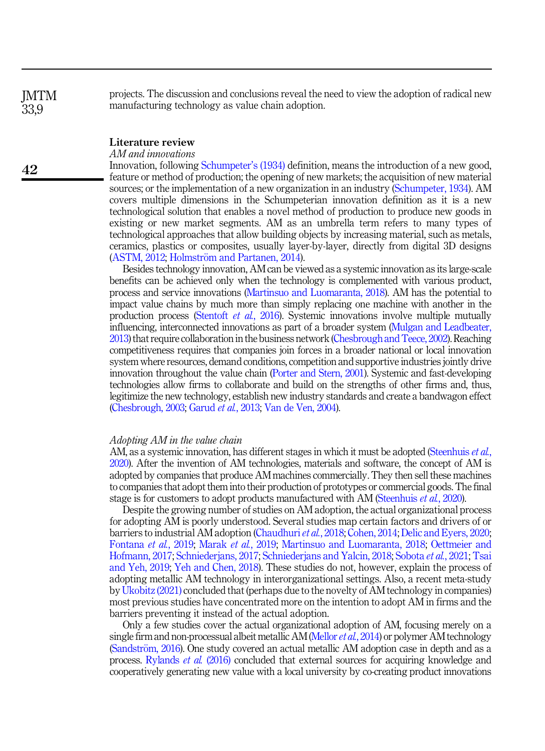projects. The discussion and conclusions reveal the need to view the adoption of radical new manufacturing technology as value chain adoption.

# Literature review

AM and innovations

Innovation, following [Schumpeter](#page-19-2)'s (1934) definition, means the introduction of a new good, feature or method of production; the opening of new markets; the acquisition of new material sources; or the implementation of a new organization in an industry [\(Schumpeter, 1934](#page-19-2)). AM covers multiple dimensions in the Schumpeterian innovation definition as it is a new technological solution that enables a novel method of production to produce new goods in existing or new market segments. AM as an umbrella term refers to many types of technological approaches that allow building objects by increasing material, such as metals, ceramics, plastics or composites, usually layer-by-layer, directly from digital 3D designs ([ASTM, 2012](#page-17-2); [Holmstr](#page-18-3)ö[m and Partanen, 2014](#page-18-3)).

Besides technology innovation, AM can be viewed as a systemic innovation as its large-scale benefits can be achieved only when the technology is complemented with various product, process and service innovations [\(Martinsuo and Luomaranta, 2018](#page-18-0)). AM has the potential to impact value chains by much more than simply replacing one machine with another in the production process ([Stentoft](#page-19-3) et al., 2016). Systemic innovations involve multiple mutually influencing, interconnected innovations as part of a broader system [\(Mulgan and Leadbeater,](#page-18-5) [2013](#page-18-5)) that require collaboration in the business network [\(Chesbrough and Teece, 2002](#page-17-3)). Reaching competitiveness requires that companies join forces in a broader national or local innovation system where resources, demand conditions, competition and supportive industries jointly drive innovation throughout the value chain ([Porter and Stern, 2001\)](#page-19-4). Systemic and fast-developing technologies allow firms to collaborate and build on the strengths of other firms and, thus, legitimize the new technology, establish new industry standards and create a bandwagon effect [\(Chesbrough, 2003](#page-17-4); [Garud](#page-18-6) et al., 2013; [Van de Ven, 2004](#page-20-2)).

#### Adopting AM in the value chain

AM, as a systemic innovation, has different stages in which it must be adopted [\(Steenhuis](#page-19-0) *et al.*, [2020](#page-19-0)). After the invention of AM technologies, materials and software, the concept of AM is adopted by companies that produce AM machines commercially. They then sell these machines to companies that adopt them into their production of prototypes or commercial goods. The final stage is for customers to adopt products manufactured with AM [\(Steenhuis](#page-19-0) et al., 2020).

Despite the growing number of studies on AM adoption, the actual organizational process for adopting AM is poorly understood. Several studies map certain factors and drivers of or barriers to industrial AM adoption ([Chaudhuri](#page-17-5) *et al.*, 2018; [Cohen, 2014;](#page-17-6) [Delic and Eyers, 2020](#page-17-7); [Fontana](#page-18-7) et al., 2019; [Marak](#page-18-8) et al., 2019; [Martinsuo and Luomaranta, 2018](#page-18-0); [Oettmeier and](#page-18-9) [Hofmann, 2017;](#page-18-9) [Schniederjans, 2017](#page-19-5); [Schniederjans and Yalcin, 2018;](#page-19-6) [Sobota](#page-19-7) et al., 2021; [Tsai](#page-19-8) [and Yeh, 2019](#page-19-8); [Yeh and Chen, 2018\)](#page-20-3). These studies do not, however, explain the process of adopting metallic AM technology in interorganizational settings. Also, a recent meta-study by [Ukobitz \(2021\)](#page-20-4) concluded that (perhaps due to the novelty of AM technology in companies) most previous studies have concentrated more on the intention to adopt AM in firms and the barriers preventing it instead of the actual adoption.

Only a few studies cover the actual organizational adoption of AM, focusing merely on a single firm and non-processual albeit metallic AM [\(Mellor](#page-18-10) *et al.*, 2014) or polymer AM technology [\(Sandstr](#page-19-9)öm, 2016). One study covered an actual metallic AM adoption case in depth and as a process. [Rylands](#page-19-10) et al. (2016) concluded that external sources for acquiring knowledge and cooperatively generating new value with a local university by co-creating product innovations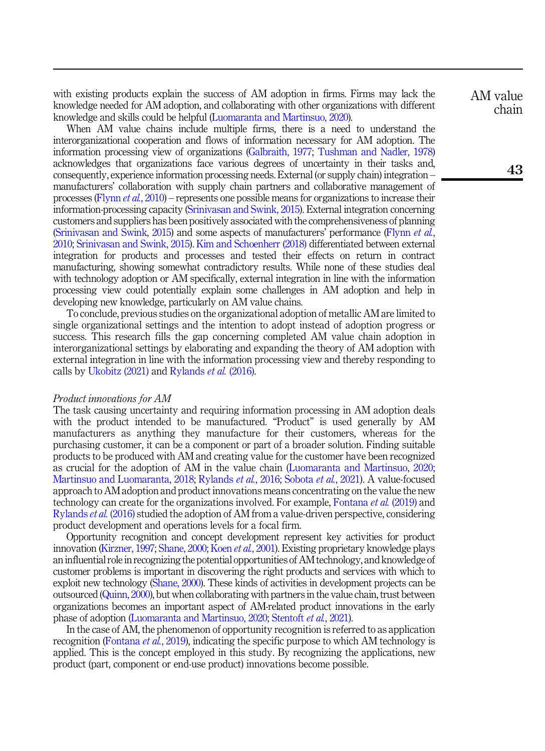with existing products explain the success of AM adoption in firms. Firms may lack the knowledge needed for AM adoption, and collaborating with other organizations with different knowledge and skills could be helpful [\(Luomaranta and Martinsuo, 2020](#page-18-1)).

When AM value chains include multiple firms, there is a need to understand the interorganizational cooperation and flows of information necessary for AM adoption. The information processing view of organizations [\(Galbraith, 1977](#page-18-4); [Tushman and Nadler, 1978\)](#page-20-1) acknowledges that organizations face various degrees of uncertainty in their tasks and, consequently, experience information processing needs. External (or supply chain) integration – manufacturers' collaboration with supply chain partners and collaborative management of processes ([Flynn](#page-18-11) et al., 2010) – represents one possible means for organizations to increase their information-processing capacity [\(Srinivasan and Swink, 2015](#page-19-11)). External integration concerning customers and suppliers has been positively associated with the comprehensiveness of planning [\(Srinivasan and Swink, 2015\)](#page-19-11) and some aspects of manufacturers' performance [\(Flynn](#page-18-11) et al., [2010](#page-18-11); [Srinivasan and Swink, 2015\)](#page-19-11). [Kim and Schoenherr \(2018\)](#page-18-12) differentiated between external integration for products and processes and tested their effects on return in contract manufacturing, showing somewhat contradictory results. While none of these studies deal with technology adoption or AM specifically, external integration in line with the information processing view could potentially explain some challenges in AM adoption and help in developing new knowledge, particularly on AM value chains.

To conclude, previous studies on the organizational adoption of metallic AM are limited to single organizational settings and the intention to adopt instead of adoption progress or success. This research fills the gap concerning completed AM value chain adoption in interorganizational settings by elaborating and expanding the theory of AM adoption with external integration in line with the information processing view and thereby responding to calls by [Ukobitz \(2021\)](#page-20-4) and [Rylands](#page-19-10) et al. (2016).

#### Product innovations for AM

The task causing uncertainty and requiring information processing in AM adoption deals with the product intended to be manufactured. "Product" is used generally by AM manufacturers as anything they manufacture for their customers, whereas for the purchasing customer, it can be a component or part of a broader solution. Finding suitable products to be produced with AM and creating value for the customer have been recognized as crucial for the adoption of AM in the value chain ([Luomaranta and Martinsuo, 2020](#page-18-1); [Martinsuo and Luomaranta, 2018;](#page-18-0) [Rylands](#page-19-10) *et al.*, 2016; [Sobota](#page-19-7) *et al.*, 2021). A value-focused approach to AM adoption and product innovations means concentrating on the value the new technology can create for the organizations involved. For example, [Fontana](#page-18-7) et al. (2019) and [Rylands](#page-19-10) et al. (2016) studied the adoption of AM from a value-driven perspective, considering product development and operations levels for a focal firm.

Opportunity recognition and concept development represent key activities for product innovation ([Kirzner, 1997](#page-18-13); [Shane, 2000](#page-19-12); Koen et al.[, 2001](#page-18-14)). Existing proprietary knowledge plays an influential role in recognizing the potential opportunities of AM technology, and knowledge of customer problems is important in discovering the right products and services with which to exploit new technology [\(Shane, 2000\)](#page-19-12). These kinds of activities in development projects can be outsourced ([Quinn, 2000\)](#page-19-13), but when collaborating with partners in the value chain, trust between organizations becomes an important aspect of AM-related product innovations in the early phase of adoption ([Luomaranta and Martinsuo, 2020](#page-18-1); [Stentoft](#page-19-14) et al., 2021).

In the case of AM, the phenomenon of opportunity recognition is referred to as application recognition [\(Fontana](#page-18-7) *et al.*, 2019), indicating the specific purpose to which AM technology is applied. This is the concept employed in this study. By recognizing the applications, new product (part, component or end-use product) innovations become possible.

AM value chain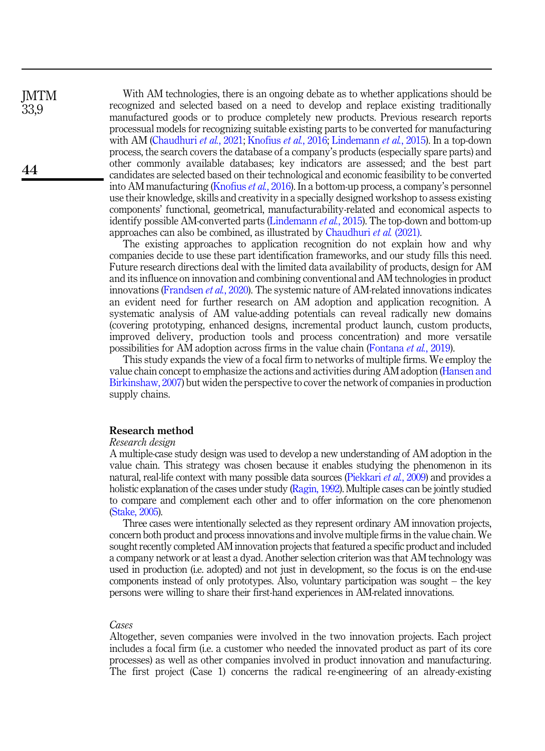With AM technologies, there is an ongoing debate as to whether applications should be recognized and selected based on a need to develop and replace existing traditionally manufactured goods or to produce completely new products. Previous research reports processual models for recognizing suitable existing parts to be converted for manufacturing with AM [\(Chaudhuri](#page-17-8) et al., 2021; [Knofius](#page-18-15) et al., 2016; [Lindemann](#page-18-16) et al., 2015). In a top-down process, the search covers the database of a company's products (especially spare parts) and other commonly available databases; key indicators are assessed; and the best part candidates are selected based on their technological and economic feasibility to be converted into AM manufacturing [\(Knofius](#page-18-15) et al., 2016). In a bottom-up process, a company's personnel use their knowledge, skills and creativity in a specially designed workshop to assess existing components' functional, geometrical, manufacturability-related and economical aspects to identify possible AM-converted parts [\(Lindemann](#page-18-16) *et al.*, 2015). The top-down and bottom-up approaches can also be combined, as illustrated by [Chaudhuri](#page-17-8) et al. (2021).

The existing approaches to application recognition do not explain how and why companies decide to use these part identification frameworks, and our study fills this need. Future research directions deal with the limited data availability of products, design for AM and its influence on innovation and combining conventional and AM technologies in product innovations [\(Frandsen](#page-18-17) et al., 2020). The systemic nature of AM-related innovations indicates an evident need for further research on AM adoption and application recognition. A systematic analysis of AM value-adding potentials can reveal radically new domains (covering prototyping, enhanced designs, incremental product launch, custom products, improved delivery, production tools and process concentration) and more versatile possibilities for AM adoption across firms in the value chain [\(Fontana](#page-18-7) et al., 2019).

This study expands the view of a focal firm to networks of multiple firms. We employ the value chain concept to emphasize the actions and activities during AM adoption ([Hansen and](#page-18-18) [Birkinshaw, 2007\)](#page-18-18) but widen the perspective to cover the network of companies in production supply chains.

#### Research method

#### Research design

**IMTM** 33,9

44

A multiple-case study design was used to develop a new understanding of AM adoption in the value chain. This strategy was chosen because it enables studying the phenomenon in its natural, real-life context with many possible data sources [\(Piekkari](#page-18-19) et al., 2009) and provides a holistic explanation of the cases under study ([Ragin, 1992](#page-19-15)). Multiple cases can be jointly studied to compare and complement each other and to offer information on the core phenomenon [\(Stake, 2005](#page-19-16)).

Three cases were intentionally selected as they represent ordinary AM innovation projects, concern both product and process innovations and involve multiple firms in the value chain. We sought recently completed AM innovation projects that featured a specific product and included a company network or at least a dyad. Another selection criterion was that AM technology was used in production (i.e. adopted) and not just in development, so the focus is on the end-use components instead of only prototypes. Also, voluntary participation was sought – the key persons were willing to share their first-hand experiences in AM-related innovations.

# Cases

Altogether, seven companies were involved in the two innovation projects. Each project includes a focal firm (i.e. a customer who needed the innovated product as part of its core processes) as well as other companies involved in product innovation and manufacturing. The first project (Case 1) concerns the radical re-engineering of an already-existing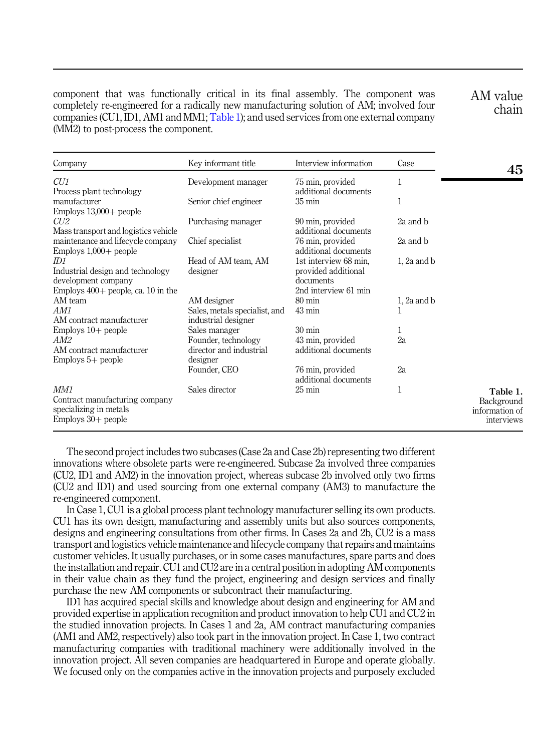<span id="page-5-0"></span>component that was functionally critical in its final assembly. The component was completely re-engineered for a radically new manufacturing solution of AM; involved four companies (CU1, ID1, AM1 and MM1; Table 1); and used services from one external company (MM2) to post-process the component.

AM value chain

| Company                                                                                                | Key informant title                                                         | Interview information                                                             | Case            | 45                                                     |
|--------------------------------------------------------------------------------------------------------|-----------------------------------------------------------------------------|-----------------------------------------------------------------------------------|-----------------|--------------------------------------------------------|
| CUI                                                                                                    | Development manager                                                         | 75 min, provided                                                                  | 1               |                                                        |
| Process plant technology<br>manufacturer<br>Employs $13,000+$ people                                   | Senior chief engineer                                                       | additional documents<br>$35 \text{ min}$                                          | 1               |                                                        |
| CU2<br>Mass transport and logistics vehicle                                                            | Purchasing manager                                                          | 90 min, provided<br>additional documents                                          | 2a and b        |                                                        |
| maintenance and lifecycle company<br>$Employs 1,000+ people$                                           | Chief specialist                                                            | 76 min, provided<br>additional documents                                          | 2a and b        |                                                        |
| ID1<br>Industrial design and technology<br>development company<br>Employs $400+$ people, ca. 10 in the | Head of AM team, AM<br>designer                                             | 1st interview 68 min.<br>provided additional<br>documents<br>2nd interview 61 min | $1, 2a$ and $b$ |                                                        |
| AM team<br>AM1<br>AM contract manufacturer                                                             | AM designer<br>Sales, metals specialist, and<br>industrial designer         | $80 \text{ min}$<br>$43 \text{ min}$                                              | $1, 2a$ and $b$ |                                                        |
| $Employs 10+ people$<br>AM2<br>AM contract manufacturer<br>$Employs 5+ people$                         | Sales manager<br>Founder, technology<br>director and industrial<br>designer | $30 \text{ min}$<br>43 min, provided<br>additional documents                      | 1<br>2a         |                                                        |
|                                                                                                        | Founder, CEO                                                                | 76 min, provided<br>additional documents                                          | 2a              |                                                        |
| MM1<br>Contract manufacturing company<br>specializing in metals<br>$Employs 30+ people$                | Sales director                                                              | $25 \text{ min}$                                                                  | 1               | Table 1.<br>Background<br>information of<br>interviews |

The second project includes two subcases (Case 2a and Case 2b) representing two different innovations where obsolete parts were re-engineered. Subcase 2a involved three companies (CU2, ID1 and AM2) in the innovation project, whereas subcase 2b involved only two firms (CU2 and ID1) and used sourcing from one external company (AM3) to manufacture the re-engineered component.

In Case 1, CU1 is a global process plant technology manufacturer selling its own products. CU1 has its own design, manufacturing and assembly units but also sources components, designs and engineering consultations from other firms. In Cases 2a and 2b, CU2 is a mass transport and logistics vehicle maintenance and lifecycle company that repairs and maintains customer vehicles. It usually purchases, or in some cases manufactures, spare parts and does the installation and repair. CU1 and CU2 are in a central position in adopting AM components in their value chain as they fund the project, engineering and design services and finally purchase the new AM components or subcontract their manufacturing.

ID1 has acquired special skills and knowledge about design and engineering for AM and provided expertise in application recognition and product innovation to help CU1 and CU2 in the studied innovation projects. In Cases 1 and 2a, AM contract manufacturing companies (AM1 and AM2, respectively) also took part in the innovation project. In Case 1, two contract manufacturing companies with traditional machinery were additionally involved in the innovation project. All seven companies are headquartered in Europe and operate globally. We focused only on the companies active in the innovation projects and purposely excluded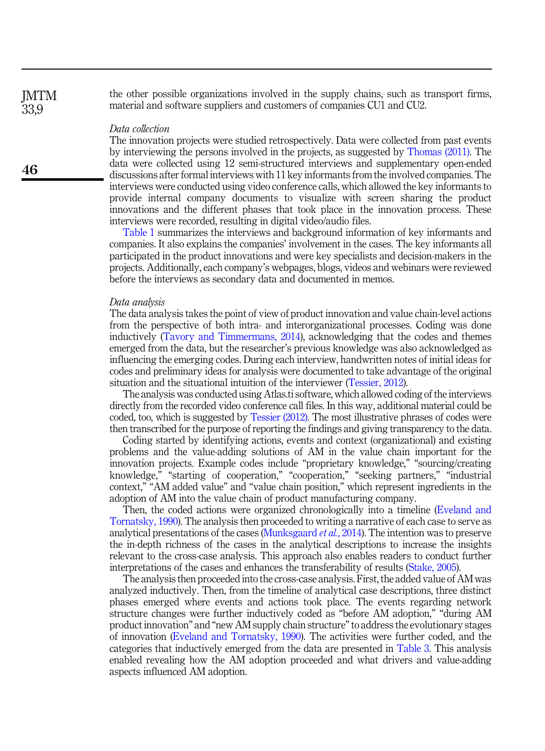the other possible organizations involved in the supply chains, such as transport firms, material and software suppliers and customers of companies CU1 and CU2.

# Data collection

The innovation projects were studied retrospectively. Data were collected from past events by interviewing the persons involved in the projects, as suggested by [Thomas \(2011\)](#page-19-17). The data were collected using 12 semi-structured interviews and supplementary open-ended discussions after formal interviews with 11 key informants from the involved companies. The interviews were conducted using video conference calls, which allowed the key informants to provide internal company documents to visualize with screen sharing the product innovations and the different phases that took place in the innovation process. These interviews were recorded, resulting in digital video/audio files.

[Table 1](#page-5-0) summarizes the interviews and background information of key informants and companies. It also explains the companies' involvement in the cases. The key informants all participated in the product innovations and were key specialists and decision-makers in the projects. Additionally, each company's webpages, blogs, videos and webinars were reviewed before the interviews as secondary data and documented in memos.

#### Data analysis

The data analysis takes the point of view of product innovation and value chain-level actions from the perspective of both intra- and interorganizational processes. Coding was done inductively ([Tavory and Timmermans, 2014](#page-19-18)), acknowledging that the codes and themes emerged from the data, but the researcher's previous knowledge was also acknowledged as influencing the emerging codes. During each interview, handwritten notes of initial ideas for codes and preliminary ideas for analysis were documented to take advantage of the original situation and the situational intuition of the interviewer [\(Tessier, 2012](#page-19-19)).

The analysis was conducted using Atlas.ti software, which allowed coding of the interviews directly from the recorded video conference call files. In this way, additional material could be coded, too, which is suggested by [Tessier \(2012\)](#page-19-19). The most illustrative phrases of codes were then transcribed for the purpose of reporting the findings and giving transparency to the data.

Coding started by identifying actions, events and context (organizational) and existing problems and the value-adding solutions of AM in the value chain important for the innovation projects. Example codes include "proprietary knowledge," "sourcing/creating knowledge," "starting of cooperation," "cooperation," "seeking partners," "industrial context," "AM added value" and "value chain position," which represent ingredients in the adoption of AM into the value chain of product manufacturing company.

Then, the coded actions were organized chronologically into a timeline ([Eveland and](#page-17-9) [Tornatsky, 1990](#page-17-9)). The analysis then proceeded to writing a narrative of each case to serve as analytical presentations of the cases ([Munksgaard](#page-18-20) *et al.*, 2014). The intention was to preserve the in-depth richness of the cases in the analytical descriptions to increase the insights relevant to the cross-case analysis. This approach also enables readers to conduct further interpretations of the cases and enhances the transferability of results ([Stake, 2005](#page-19-16)).

The analysis then proceeded into the cross-case analysis. First, the added value of AM was analyzed inductively. Then, from the timeline of analytical case descriptions, three distinct phases emerged where events and actions took place. The events regarding network structure changes were further inductively coded as "before AM adoption," "during AM product innovation" and "new AM supply chain structure"to address the evolutionary stages of innovation ([Eveland and Tornatsky, 1990](#page-17-9)). The activities were further coded, and the categories that inductively emerged from the data are presented in [Table 3.](#page-11-0) This analysis enabled revealing how the AM adoption proceeded and what drivers and value-adding aspects influenced AM adoption.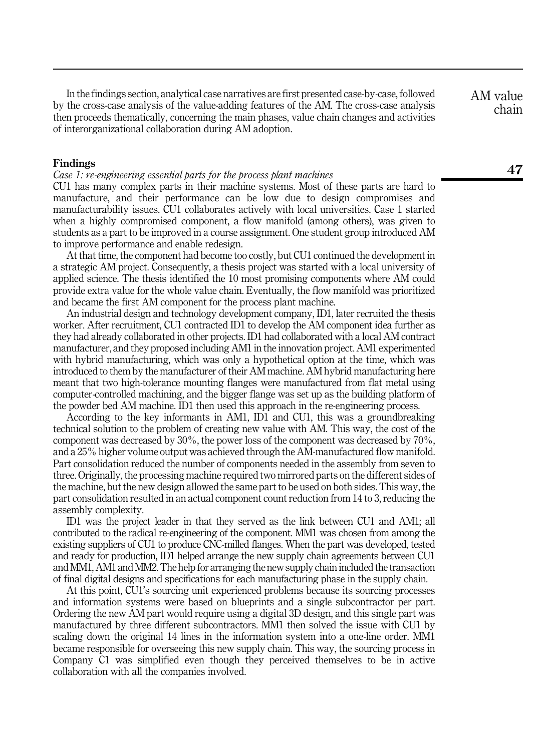In the findings section, analytical case narratives are first presented case-by-case, followed by the cross-case analysis of the value-adding features of the AM. The cross-case analysis then proceeds thematically, concerning the main phases, value chain changes and activities of interorganizational collaboration during AM adoption.

### Findings

Case 1: re-engineering essential parts for the process plant machines

CU1 has many complex parts in their machine systems. Most of these parts are hard to manufacture, and their performance can be low due to design compromises and manufacturability issues. CU1 collaborates actively with local universities. Case 1 started when a highly compromised component, a flow manifold (among others), was given to students as a part to be improved in a course assignment. One student group introduced AM to improve performance and enable redesign.

At that time, the component had become too costly, but CU1 continued the development in a strategic AM project. Consequently, a thesis project was started with a local university of applied science. The thesis identified the 10 most promising components where AM could provide extra value for the whole value chain. Eventually, the flow manifold was prioritized and became the first AM component for the process plant machine.

An industrial design and technology development company, ID1, later recruited the thesis worker. After recruitment, CU1 contracted ID1 to develop the AM component idea further as they had already collaborated in other projects. ID1 had collaborated with a local AM contract manufacturer, and they proposed including AM1 in the innovation project. AM1 experimented with hybrid manufacturing, which was only a hypothetical option at the time, which was introduced to them by the manufacturer of their AM machine. AM hybrid manufacturing here meant that two high-tolerance mounting flanges were manufactured from flat metal using computer-controlled machining, and the bigger flange was set up as the building platform of the powder bed AM machine. ID1 then used this approach in the re-engineering process.

According to the key informants in AM1, ID1 and CU1, this was a groundbreaking technical solution to the problem of creating new value with AM. This way, the cost of the component was decreased by 30%, the power loss of the component was decreased by 70%, and a 25% higher volume output was achieved through the AM-manufactured flow manifold. Part consolidation reduced the number of components needed in the assembly from seven to three. Originally, the processing machine required two mirrored parts on the different sides of the machine, but the new design allowed the same part to be used on both sides. This way, the part consolidation resulted in an actual component count reduction from 14 to 3, reducing the assembly complexity.

ID1 was the project leader in that they served as the link between CU1 and AM1; all contributed to the radical re-engineering of the component. MM1 was chosen from among the existing suppliers of CU1 to produce CNC-milled flanges. When the part was developed, tested and ready for production, ID1 helped arrange the new supply chain agreements between CU1 and MM1, AM1 and MM2. The help for arranging the new supply chain included the transaction of final digital designs and specifications for each manufacturing phase in the supply chain.

At this point, CU1's sourcing unit experienced problems because its sourcing processes and information systems were based on blueprints and a single subcontractor per part. Ordering the new AM part would require using a digital 3D design, and this single part was manufactured by three different subcontractors. MM1 then solved the issue with CU1 by scaling down the original 14 lines in the information system into a one-line order. MM1 became responsible for overseeing this new supply chain. This way, the sourcing process in Company C1 was simplified even though they perceived themselves to be in active collaboration with all the companies involved.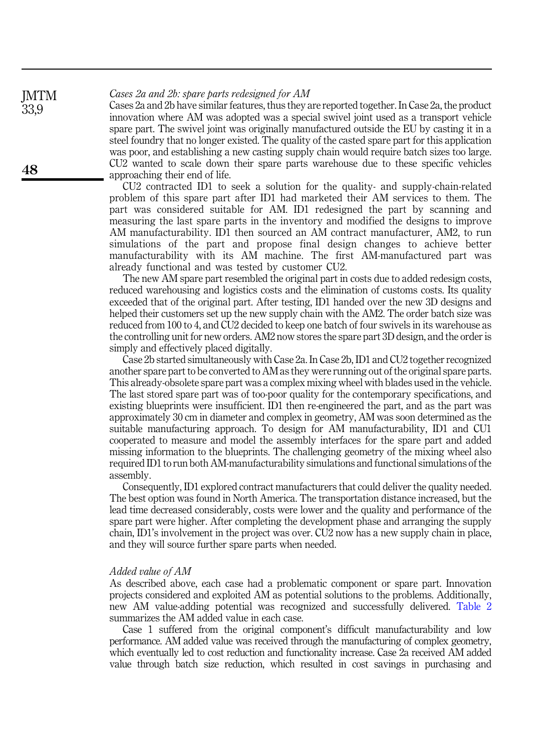Cases 2a and 2b: spare parts redesigned for AM **IMTM** 

Cases 2a and 2b have similar features, thus they are reported together. In Case 2a, the product innovation where AM was adopted was a special swivel joint used as a transport vehicle spare part. The swivel joint was originally manufactured outside the EU by casting it in a steel foundry that no longer existed. The quality of the casted spare part for this application was poor, and establishing a new casting supply chain would require batch sizes too large. CU2 wanted to scale down their spare parts warehouse due to these specific vehicles approaching their end of life.

CU2 contracted ID1 to seek a solution for the quality- and supply-chain-related problem of this spare part after ID1 had marketed their AM services to them. The part was considered suitable for AM. ID1 redesigned the part by scanning and measuring the last spare parts in the inventory and modified the designs to improve AM manufacturability. ID1 then sourced an AM contract manufacturer, AM2, to run simulations of the part and propose final design changes to achieve better manufacturability with its AM machine. The first AM-manufactured part was already functional and was tested by customer CU2.

The new AM spare part resembled the original part in costs due to added redesign costs, reduced warehousing and logistics costs and the elimination of customs costs. Its quality exceeded that of the original part. After testing, ID1 handed over the new 3D designs and helped their customers set up the new supply chain with the AM2. The order batch size was reduced from 100 to 4, and CU2 decided to keep one batch of four swivels in its warehouse as the controlling unit for new orders. AM2 now stores the spare part 3D design, and the order is simply and effectively placed digitally.

Case 2b started simultaneously with Case 2a. In Case 2b, ID1 and CU2 together recognized another spare part to be converted to AM as they were running out of the original spare parts. This already-obsolete spare part was a complex mixing wheel with blades used in the vehicle. The last stored spare part was of too-poor quality for the contemporary specifications, and existing blueprints were insufficient. ID1 then re-engineered the part, and as the part was approximately 30 cm in diameter and complex in geometry, AM was soon determined as the suitable manufacturing approach. To design for AM manufacturability, ID1 and CU1 cooperated to measure and model the assembly interfaces for the spare part and added missing information to the blueprints. The challenging geometry of the mixing wheel also required ID1 to run both AM-manufacturability simulations and functional simulations of the assembly.

Consequently, ID1 explored contract manufacturers that could deliver the quality needed. The best option was found in North America. The transportation distance increased, but the lead time decreased considerably, costs were lower and the quality and performance of the spare part were higher. After completing the development phase and arranging the supply chain, ID1's involvement in the project was over. CU2 now has a new supply chain in place, and they will source further spare parts when needed.

#### Added value of AM

As described above, each case had a problematic component or spare part. Innovation projects considered and exploited AM as potential solutions to the problems. Additionally, new AM value-adding potential was recognized and successfully delivered. [Table 2](#page-9-0) summarizes the AM added value in each case.

Case 1 suffered from the original component's difficult manufacturability and low performance. AM added value was received through the manufacturing of complex geometry, which eventually led to cost reduction and functionality increase. Case 2a received AM added value through batch size reduction, which resulted in cost savings in purchasing and

33,9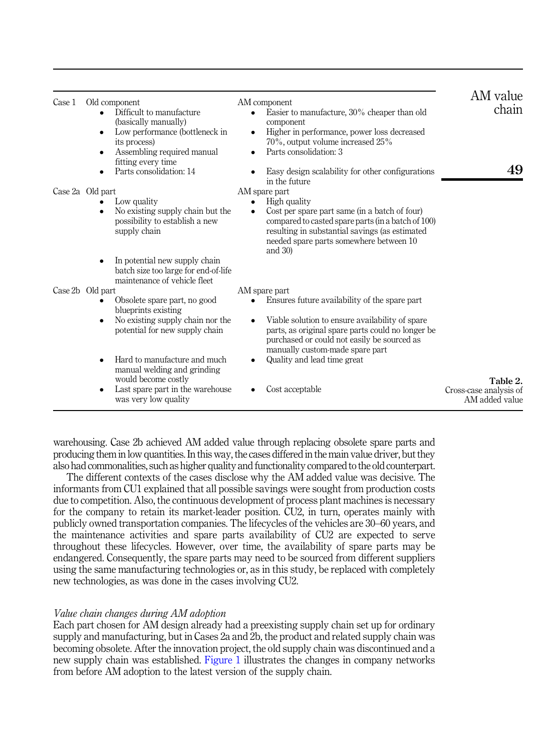<span id="page-9-0"></span>

| Case 1 | Old component<br>Difficult to manufacture<br>(basically manually)<br>Low performance (bottleneck in<br>٠<br>its process)<br>Assembling required manual<br>fitting every time | AM component<br>Easier to manufacture, 30% cheaper than old<br>$\bullet$<br>component<br>Higher in performance, power loss decreased<br>$\bullet$<br>70%, output volume increased 25%<br>Parts consolidation: 3<br>$\bullet$                          | AM value<br>chain                                    |
|--------|------------------------------------------------------------------------------------------------------------------------------------------------------------------------------|-------------------------------------------------------------------------------------------------------------------------------------------------------------------------------------------------------------------------------------------------------|------------------------------------------------------|
|        | Parts consolidation: 14                                                                                                                                                      | Easy design scalability for other configurations<br>in the future                                                                                                                                                                                     | 49                                                   |
|        | Case 2a Old part<br>Low quality<br>No existing supply chain but the<br>$\bullet$<br>possibility to establish a new<br>supply chain                                           | AM spare part<br>High quality<br>Cost per spare part same (in a batch of four)<br>compared to casted spare parts (in a batch of 100)<br>resulting in substantial savings (as estimated<br>needed spare parts somewhere between 10<br>and $30$ )       |                                                      |
|        | In potential new supply chain<br>batch size too large for end-of-life<br>maintenance of vehicle fleet                                                                        |                                                                                                                                                                                                                                                       |                                                      |
|        | Case 2b Old part                                                                                                                                                             | AM spare part                                                                                                                                                                                                                                         |                                                      |
|        | Obsolete spare part, no good<br>blueprints existing<br>No existing supply chain nor the<br>$\bullet$<br>potential for new supply chain                                       | Ensures future availability of the spare part<br>Viable solution to ensure availability of spare<br>$\bullet$<br>parts, as original spare parts could no longer be.<br>purchased or could not easily be sourced as<br>manually custom-made spare part |                                                      |
|        | Hard to manufacture and much<br>manual welding and grinding                                                                                                                  | Quality and lead time great                                                                                                                                                                                                                           |                                                      |
|        | would become costly<br>Last spare part in the warehouse<br>$\bullet$<br>was very low quality                                                                                 | Cost acceptable                                                                                                                                                                                                                                       | Table 2.<br>Cross-case analysis of<br>AM added value |

warehousing. Case 2b achieved AM added value through replacing obsolete spare parts and producing them in low quantities. In this way, the cases differed in the main value driver, but they also had commonalities, such as higher quality and functionality compared to the old counterpart.

The different contexts of the cases disclose why the AM added value was decisive. The informants from CU1 explained that all possible savings were sought from production costs due to competition. Also, the continuous development of process plant machines is necessary for the company to retain its market-leader position. CU2, in turn, operates mainly with publicly owned transportation companies. The lifecycles of the vehicles are 30–60 years, and the maintenance activities and spare parts availability of CU2 are expected to serve throughout these lifecycles. However, over time, the availability of spare parts may be endangered. Consequently, the spare parts may need to be sourced from different suppliers using the same manufacturing technologies or, as in this study, be replaced with completely new technologies, as was done in the cases involving CU2.

# Value chain changes during AM adoption

Each part chosen for AM design already had a preexisting supply chain set up for ordinary supply and manufacturing, but in Cases 2a and 2b, the product and related supply chain was becoming obsolete. After the innovation project, the old supply chain was discontinued and a new supply chain was established. [Figure 1](#page-10-0) illustrates the changes in company networks from before AM adoption to the latest version of the supply chain.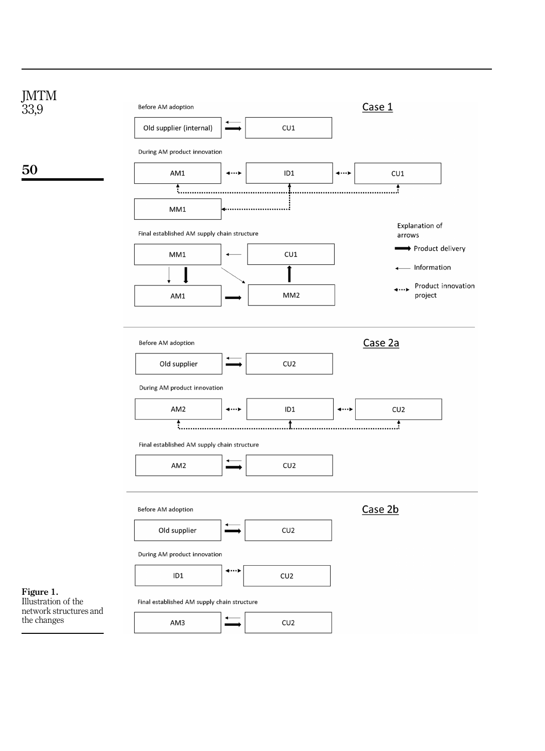<span id="page-10-0"></span>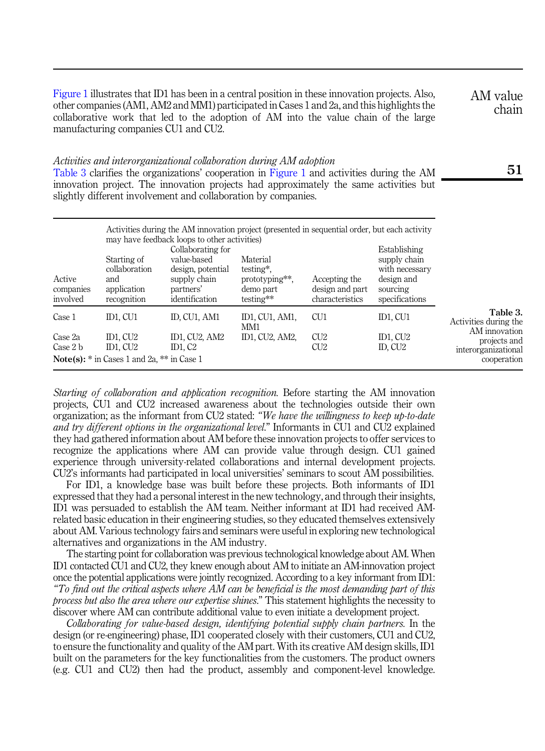<span id="page-11-0"></span>[Figure 1](#page-10-0) illustrates that ID1 has been in a central position in these innovation projects. Also, other companies (AM1, AM2 and MM1) participated in Cases 1 and 2a, and this highlights the collaborative work that led to the adoption of AM into the value chain of the large manufacturing companies CU1 and CU2.

AM value chain

# Activities and interorganizational collaboration during AM adoption

Table 3 clarifies the organizations' cooperation in [Figure 1](#page-10-0) and activities during the AM innovation project. The innovation projects had approximately the same activities but slightly different involvement and collaboration by companies.

| Active<br>companies<br>involved | Starting of<br>collaboration<br>and<br>application<br>recognition                  | Activities during the AM innovation project (presented in sequential order, but each activity<br>may have feedback loops to other activities)<br>Collaborating for<br>value-based<br>design, potential<br>supply chain<br>partners'<br>identification | Material<br>testing*.<br>prototyping**,<br>demo part<br>testing** | Accepting the<br>design and part<br>characteristics | Establishing<br>supply chain<br>with necessary<br>design and<br>sourcing<br>specifications |                                                                     |
|---------------------------------|------------------------------------------------------------------------------------|-------------------------------------------------------------------------------------------------------------------------------------------------------------------------------------------------------------------------------------------------------|-------------------------------------------------------------------|-----------------------------------------------------|--------------------------------------------------------------------------------------------|---------------------------------------------------------------------|
| Case 1                          | ID1, CU1                                                                           | ID, CU1, AM1                                                                                                                                                                                                                                          | ID1, CU1, AM1,                                                    | CU <sub>1</sub>                                     | ID1, CU1                                                                                   | Table 3.<br>Activities during the                                   |
| Case 2a<br>Case 2 b             | $ID1$ , $CU2$<br>ID1, CU2<br><b>Note(s):</b> $*$ in Cases 1 and 2a, $**$ in Case 1 | ID1, CU2, AM2<br>ID1, C <sub>2</sub>                                                                                                                                                                                                                  | MM1<br>ID1. CU2. AM2.                                             | CU2<br>CU2                                          | ID1, CU2<br>ID, CU <sub>2</sub>                                                            | AM innovation<br>projects and<br>interorganizational<br>cooperation |

Starting of collaboration and application recognition. Before starting the AM innovation projects, CU1 and CU2 increased awareness about the technologies outside their own organization; as the informant from CU2 stated: "We have the willingness to keep up-to-date and try different options in the organizational level." Informants in CU1 and CU2 explained they had gathered information about AM before these innovation projects to offer services to recognize the applications where AM can provide value through design. CU1 gained experience through university-related collaborations and internal development projects. CU2's informants had participated in local universities' seminars to scout AM possibilities.

For ID1, a knowledge base was built before these projects. Both informants of ID1 expressed that they had a personal interest in the new technology, and through their insights, ID1 was persuaded to establish the AM team. Neither informant at ID1 had received AMrelated basic education in their engineering studies, so they educated themselves extensively about AM. Various technology fairs and seminars were useful in exploring new technological alternatives and organizations in the AM industry.

The starting point for collaboration was previous technological knowledge about AM. When ID1 contacted CU1 and CU2, they knew enough about AM to initiate an AM-innovation project once the potential applications were jointly recognized. According to a key informant from ID1: "To find out the critical aspects where AM can be beneficial is the most demanding part of this process but also the area where our expertise shines." This statement highlights the necessity to discover where AM can contribute additional value to even initiate a development project.

Collaborating for value-based design, identifying potential supply chain partners. In the design (or re-engineering) phase, ID1 cooperated closely with their customers, CU1 and CU2, to ensure the functionality and quality of the AM part. With its creative AM design skills, ID1 built on the parameters for the key functionalities from the customers. The product owners (e.g. CU1 and CU2) then had the product, assembly and component-level knowledge.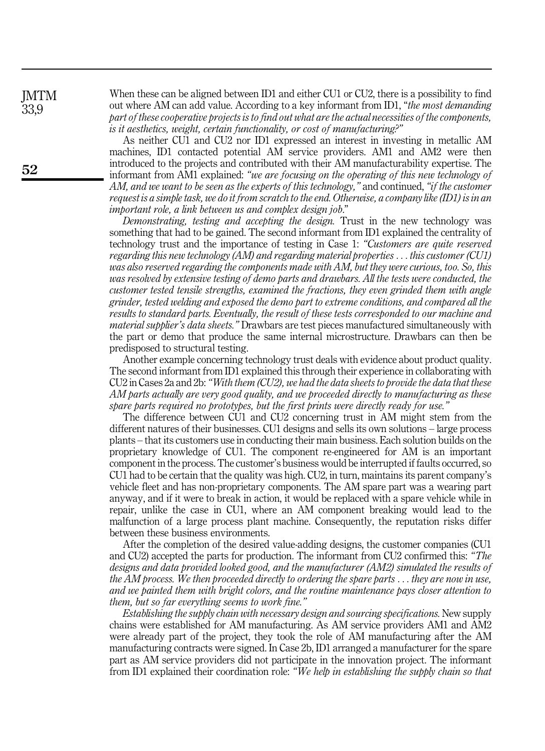When these can be aligned between ID1 and either CU1 or CU2, there is a possibility to find out where AM can add value. According to a key informant from ID1, "the most demanding part of these cooperative projects is to find out what are the actual necessities of the components, is it aesthetics, weight, certain functionality, or cost of manufacturing?"

As neither CU1 and CU2 nor ID1 expressed an interest in investing in metallic AM machines, ID1 contacted potential AM service providers. AM1 and AM2 were then introduced to the projects and contributed with their AM manufacturability expertise. The informant from AM1 explained: "we are focusing on the operating of this new technology of AM, and we want to be seen as the experts of this technology," and continued, "if the customer request is a simple task, we do it from scratch to the end. Otherwise, a company like (ID1) is in an important role, a link between us and complex design job."

Demonstrating, testing and accepting the design. Trust in the new technology was something that had to be gained. The second informant from ID1 explained the centrality of technology trust and the importance of testing in Case 1: "Customers are quite reserved regarding this new technology (AM) and regarding material properties ... this customer (CU1) was also reserved regarding the components made with AM, but they were curious, too. So, this was resolved by extensive testing of demo parts and drawbars. All the tests were conducted, the customer tested tensile strengths, examined the fractions, they even grinded them with angle grinder, tested welding and exposed the demo part to extreme conditions, and compared all the results to standard parts. Eventually, the result of these tests corresponded to our machine and material supplier's data sheets." Drawbars are test pieces manufactured simultaneously with the part or demo that produce the same internal microstructure. Drawbars can then be predisposed to structural testing.

Another example concerning technology trust deals with evidence about product quality. The second informant from ID1 explained this through their experience in collaborating with CU2 in Cases 2a and 2b: "With them (CU2), we had the data sheets to provide the data that these AM parts actually are very good quality, and we proceeded directly to manufacturing as these spare parts required no prototypes, but the first prints were directly ready for use."

The difference between CU1 and CU2 concerning trust in AM might stem from the different natures of their businesses. CU1 designs and sells its own solutions – large process plants – that its customers use in conducting their main business. Each solution builds on the proprietary knowledge of CU1. The component re-engineered for AM is an important component in the process. The customer's business would be interrupted if faults occurred, so CU1 had to be certain that the quality was high. CU2, in turn, maintains its parent company's vehicle fleet and has non-proprietary components. The AM spare part was a wearing part anyway, and if it were to break in action, it would be replaced with a spare vehicle while in repair, unlike the case in CU1, where an AM component breaking would lead to the malfunction of a large process plant machine. Consequently, the reputation risks differ between these business environments.

After the completion of the desired value-adding designs, the customer companies (CU1 and CU2) accepted the parts for production. The informant from CU2 confirmed this: "The designs and data provided looked good, and the manufacturer (AM2) simulated the results of the AM process. We then proceeded directly to ordering the spare parts ... they are now in use, and we painted them with bright colors, and the routine maintenance pays closer attention to them, but so far everything seems to work fine."

Establishing the supply chain with necessary design and sourcing specifications. New supply chains were established for AM manufacturing. As AM service providers AM1 and AM2 were already part of the project, they took the role of AM manufacturing after the AM manufacturing contracts were signed. In Case 2b, ID1 arranged a manufacturer for the spare part as AM service providers did not participate in the innovation project. The informant from ID1 explained their coordination role: "We help in establishing the supply chain so that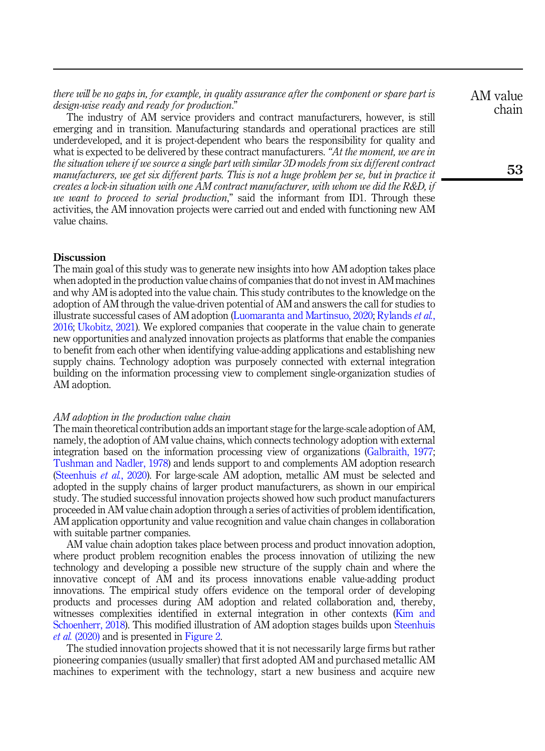there will be no gaps in, for example, in quality assurance after the component or spare part is design-wise ready and ready for production."

The industry of AM service providers and contract manufacturers, however, is still emerging and in transition. Manufacturing standards and operational practices are still underdeveloped, and it is project-dependent who bears the responsibility for quality and what is expected to be delivered by these contract manufacturers. "At the moment, we are in the situation where if we source a single part with similar 3D models from six different contract manufacturers, we get six different parts. This is not a huge problem per se, but in practice it creates a lock-in situation with one AM contract manufacturer, with whom we did the R&D, if we want to proceed to serial production," said the informant from ID1. Through these activities, the AM innovation projects were carried out and ended with functioning new AM value chains.

#### Discussion

The main goal of this study was to generate new insights into how AM adoption takes place when adopted in the production value chains of companies that do not invest in AM machines and why AM is adopted into the value chain. This study contributes to the knowledge on the adoption of AM through the value-driven potential of AM and answers the call for studies to illustrate successful cases of AM adoption [\(Luomaranta and Martinsuo, 2020;](#page-18-1) [Rylands](#page-19-10) et al., [2016;](#page-19-10) [Ukobitz, 2021\)](#page-20-4). We explored companies that cooperate in the value chain to generate new opportunities and analyzed innovation projects as platforms that enable the companies to benefit from each other when identifying value-adding applications and establishing new supply chains. Technology adoption was purposely connected with external integration building on the information processing view to complement single-organization studies of AM adoption.

#### AM adoption in the production value chain

The main theoretical contribution adds an important stage for the large-scale adoption of AM, namely, the adoption of AM value chains, which connects technology adoption with external integration based on the information processing view of organizations ([Galbraith, 1977](#page-18-4); [Tushman and Nadler, 1978](#page-20-1)) and lends support to and complements AM adoption research ([Steenhuis](#page-19-0) et al., 2020). For large-scale AM adoption, metallic AM must be selected and adopted in the supply chains of larger product manufacturers, as shown in our empirical study. The studied successful innovation projects showed how such product manufacturers proceeded in AM value chain adoption through a series of activities of problem identification, AM application opportunity and value recognition and value chain changes in collaboration with suitable partner companies.

AM value chain adoption takes place between process and product innovation adoption, where product problem recognition enables the process innovation of utilizing the new technology and developing a possible new structure of the supply chain and where the innovative concept of AM and its process innovations enable value-adding product innovations. The empirical study offers evidence on the temporal order of developing products and processes during AM adoption and related collaboration and, thereby, witnesses complexities identified in external integration in other contexts [\(Kim and](#page-18-12) [Schoenherr, 2018](#page-18-12)). This modified illustration of AM adoption stages builds upon [Steenhuis](#page-19-0) et al. [\(2020\)](#page-19-0) and is presented in [Figure 2.](#page-14-0)

The studied innovation projects showed that it is not necessarily large firms but rather pioneering companies (usually smaller) that first adopted AM and purchased metallic AM machines to experiment with the technology, start a new business and acquire new

AM value chain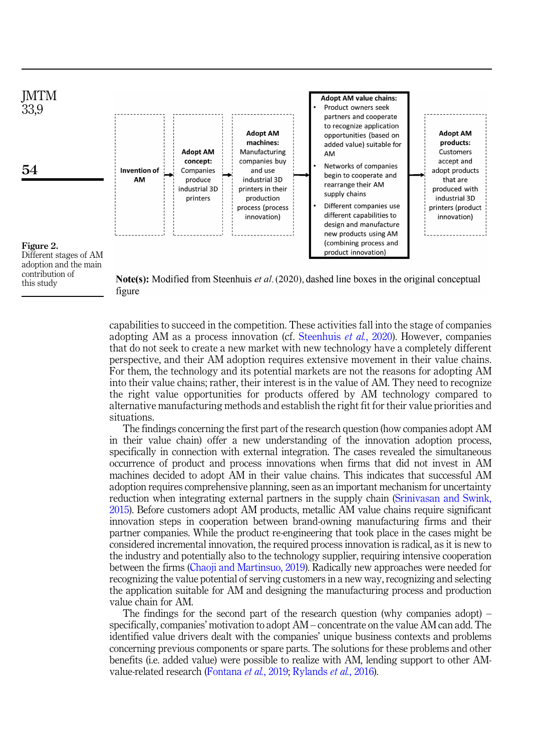<span id="page-14-0"></span>

contribution of this study

Note(s): Modified from Steenhuis et al. (2020), dashed line boxes in the original conceptual figure

capabilities to succeed in the competition. These activities fall into the stage of companies adopting AM as a process innovation (cf. [Steenhuis](#page-19-0) et al., 2020). However, companies that do not seek to create a new market with new technology have a completely different perspective, and their AM adoption requires extensive movement in their value chains. For them, the technology and its potential markets are not the reasons for adopting AM into their value chains; rather, their interest is in the value of AM. They need to recognize the right value opportunities for products offered by AM technology compared to alternative manufacturing methods and establish the right fit for their value priorities and situations.

The findings concerning the first part of the research question (how companies adopt AM in their value chain) offer a new understanding of the innovation adoption process, specifically in connection with external integration. The cases revealed the simultaneous occurrence of product and process innovations when firms that did not invest in AM machines decided to adopt AM in their value chains. This indicates that successful AM adoption requires comprehensive planning, seen as an important mechanism for uncertainty reduction when integrating external partners in the supply chain ([Srinivasan and Swink,](#page-19-11) [2015\)](#page-19-11). Before customers adopt AM products, metallic AM value chains require significant innovation steps in cooperation between brand-owning manufacturing firms and their partner companies. While the product re-engineering that took place in the cases might be considered incremental innovation, the required process innovation is radical, as it is new to the industry and potentially also to the technology supplier, requiring intensive cooperation between the firms ([Chaoji and Martinsuo, 2019](#page-17-10)). Radically new approaches were needed for recognizing the value potential of serving customers in a new way, recognizing and selecting the application suitable for AM and designing the manufacturing process and production value chain for AM.

The findings for the second part of the research question (why companies adopt) – specifically, companies' motivation to adopt AM – concentrate on the value AM can add. The identified value drivers dealt with the companies' unique business contexts and problems concerning previous components or spare parts. The solutions for these problems and other benefits (i.e. added value) were possible to realize with AM, lending support to other AMvalue-related research [\(Fontana](#page-18-7) et al., 2019; [Rylands](#page-19-10) et al., 2016).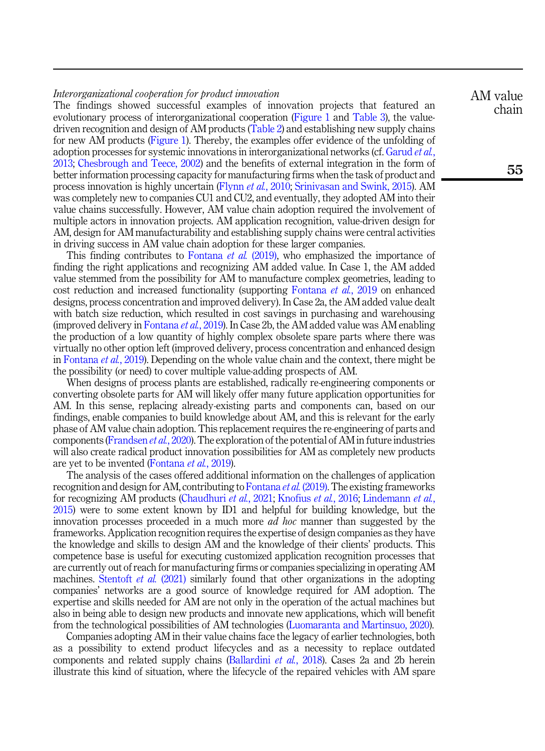# Interorganizational cooperation for product innovation

The findings showed successful examples of innovation projects that featured an evolutionary process of interorganizational cooperation [\(Figure 1](#page-10-0) and [Table 3\)](#page-11-0), the valuedriven recognition and design of AM products ([Table 2](#page-9-0)) and establishing new supply chains for new AM products [\(Figure 1\)](#page-10-0). Thereby, the examples offer evidence of the unfolding of adoption processes for systemic innovations in interorganizational networks (cf. [Garud](#page-18-6) *et al.*, [2013;](#page-18-6) [Chesbrough and Teece, 2002](#page-17-3)) and the benefits of external integration in the form of better information processing capacity for manufacturing firms when the task of product and process innovation is highly uncertain [\(Flynn](#page-18-11) et al., 2010; [Srinivasan and Swink, 2015\)](#page-19-11). AM was completely new to companies CU1 and CU2, and eventually, they adopted AM into their value chains successfully. However, AM value chain adoption required the involvement of multiple actors in innovation projects. AM application recognition, value-driven design for AM, design for AM manufacturability and establishing supply chains were central activities in driving success in AM value chain adoption for these larger companies.

This finding contributes to [Fontana](#page-18-7) *et al.* (2019), who emphasized the importance of finding the right applications and recognizing AM added value. In Case 1, the AM added value stemmed from the possibility for AM to manufacture complex geometries, leading to cost reduction and increased functionality (supporting [Fontana](#page-18-7) et al., 2019 on enhanced designs, process concentration and improved delivery). In Case 2a, the AM added value dealt with batch size reduction, which resulted in cost savings in purchasing and warehousing (improved delivery in [Fontana](#page-18-7) *et al.*, 2019). In Case 2b, the AM added value was AM enabling the production of a low quantity of highly complex obsolete spare parts where there was virtually no other option left (improved delivery, process concentration and enhanced design in [Fontana](#page-18-7) *et al.*, 2019). Depending on the whole value chain and the context, there might be the possibility (or need) to cover multiple value-adding prospects of AM.

When designs of process plants are established, radically re-engineering components or converting obsolete parts for AM will likely offer many future application opportunities for AM. In this sense, replacing already-existing parts and components can, based on our findings, enable companies to build knowledge about AM, and this is relevant for the early phase of AM value chain adoption. This replacement requires the re-engineering of parts and components ([Frandsen](#page-18-17) et al., 2020). The exploration of the potential of AM in future industries will also create radical product innovation possibilities for AM as completely new products are yet to be invented ([Fontana](#page-18-7) *et al.*, 2019).

The analysis of the cases offered additional information on the challenges of application recognition and design for AM, contributing to [Fontana](#page-18-7) *et al.* (2019). The existing frameworks for recognizing AM products [\(Chaudhuri](#page-17-8) et al., 2021; [Knofius](#page-18-15) et al., 2016; [Lindemann](#page-18-16) et al., [2015\)](#page-18-16) were to some extent known by ID1 and helpful for building knowledge, but the innovation processes proceeded in a much more *ad hoc* manner than suggested by the frameworks. Application recognition requires the expertise of design companies as they have the knowledge and skills to design AM and the knowledge of their clients' products. This competence base is useful for executing customized application recognition processes that are currently out of reach for manufacturing firms or companies specializing in operating AM machines. [Stentoft](#page-19-14) *et al.* (2021) similarly found that other organizations in the adopting companies' networks are a good source of knowledge required for AM adoption. The expertise and skills needed for AM are not only in the operation of the actual machines but also in being able to design new products and innovate new applications, which will benefit from the technological possibilities of AM technologies ([Luomaranta and Martinsuo, 2020\)](#page-18-1).

Companies adopting AM in their value chains face the legacy of earlier technologies, both as a possibility to extend product lifecycles and as a necessity to replace outdated components and related supply chains [\(Ballardini](#page-17-11) *et al.*, 2018). Cases 2a and 2b herein illustrate this kind of situation, where the lifecycle of the repaired vehicles with AM spare AM value chain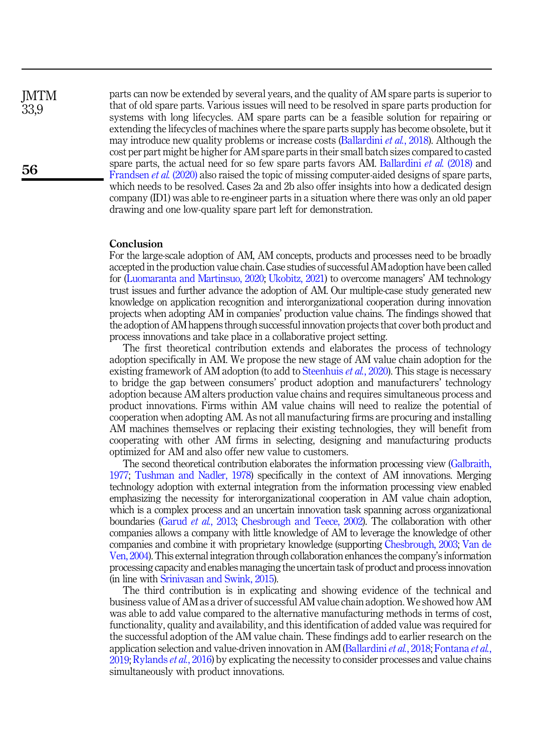**IMTM** 33,9

56

parts can now be extended by several years, and the quality of AM spare parts is superior to that of old spare parts. Various issues will need to be resolved in spare parts production for systems with long lifecycles. AM spare parts can be a feasible solution for repairing or extending the lifecycles of machines where the spare parts supply has become obsolete, but it may introduce new quality problems or increase costs ([Ballardini](#page-17-11) *et al.*, 2018). Although the cost per part might be higher for AM spare parts in their small batch sizes compared to casted spare parts, the actual need for so few spare parts favors AM. [Ballardini](#page-17-11) *et al.* (2018) and [Frandsen](#page-18-17) *et al.* (2020) also raised the topic of missing computer-aided designs of spare parts, which needs to be resolved. Cases 2a and 2b also offer insights into how a dedicated design company (ID1) was able to re-engineer parts in a situation where there was only an old paper drawing and one low-quality spare part left for demonstration.

# Conclusion

For the large-scale adoption of AM, AM concepts, products and processes need to be broadly accepted in the production value chain. Case studies of successful AM adoption have been called for ([Luomaranta and Martinsuo, 2020;](#page-18-1) [Ukobitz, 2021\)](#page-20-4) to overcome managers' AM technology trust issues and further advance the adoption of AM. Our multiple-case study generated new knowledge on application recognition and interorganizational cooperation during innovation projects when adopting AM in companies' production value chains. The findings showed that the adoption of AM happens through successful innovation projects that cover both product and process innovations and take place in a collaborative project setting.

The first theoretical contribution extends and elaborates the process of technology adoption specifically in AM. We propose the new stage of AM value chain adoption for the existing framework of AM adoption (to add to [Steenhuis](#page-19-0) *et al.*, 2020). This stage is necessary to bridge the gap between consumers' product adoption and manufacturers' technology adoption because AM alters production value chains and requires simultaneous process and product innovations. Firms within AM value chains will need to realize the potential of cooperation when adopting AM. As not all manufacturing firms are procuring and installing AM machines themselves or replacing their existing technologies, they will benefit from cooperating with other AM firms in selecting, designing and manufacturing products optimized for AM and also offer new value to customers.

The second theoretical contribution elaborates the information processing view [\(Galbraith,](#page-18-4) [1977](#page-18-4); [Tushman and Nadler, 1978](#page-20-1)) specifically in the context of AM innovations. Merging technology adoption with external integration from the information processing view enabled emphasizing the necessity for interorganizational cooperation in AM value chain adoption, which is a complex process and an uncertain innovation task spanning across organizational boundaries [\(Garud](#page-18-6) et al., 2013; [Chesbrough and Teece, 2002](#page-17-3)). The collaboration with other companies allows a company with little knowledge of AM to leverage the knowledge of other companies and combine it with proprietary knowledge (supporting [Chesbrough, 2003](#page-17-4); [Van de](#page-20-2) [Ven, 2004](#page-20-2)). This external integration through collaboration enhances the company's information processing capacity and enables managing the uncertain task of product and process innovation (in line with [Srinivasan and Swink, 2015\)](#page-19-11).

The third contribution is in explicating and showing evidence of the technical and business value of AM as a driver of successful AM value chain adoption. We showed how AM was able to add value compared to the alternative manufacturing methods in terms of cost, functionality, quality and availability, and this identification of added value was required for the successful adoption of the AM value chain. These findings add to earlier research on the application selection and value-driven innovation in AM ([Ballardini](#page-17-11) *et al.*, 2018; [Fontana](#page-18-7) *et al.*,  $2019$ ; [Rylands](#page-19-10) *et al.*,  $2016$ ) by explicating the necessity to consider processes and value chains simultaneously with product innovations.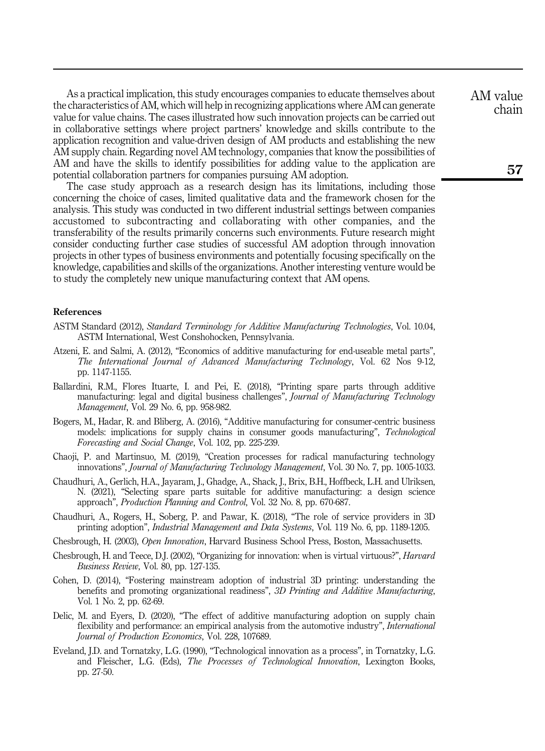As a practical implication, this study encourages companies to educate themselves about the characteristics of AM, which will help in recognizing applications where AM can generate value for value chains. The cases illustrated how such innovation projects can be carried out in collaborative settings where project partners' knowledge and skills contribute to the application recognition and value-driven design of AM products and establishing the new AM supply chain. Regarding novel AM technology, companies that know the possibilities of AM and have the skills to identify possibilities for adding value to the application are potential collaboration partners for companies pursuing AM adoption.

The case study approach as a research design has its limitations, including those concerning the choice of cases, limited qualitative data and the framework chosen for the analysis. This study was conducted in two different industrial settings between companies accustomed to subcontracting and collaborating with other companies, and the transferability of the results primarily concerns such environments. Future research might consider conducting further case studies of successful AM adoption through innovation projects in other types of business environments and potentially focusing specifically on the knowledge, capabilities and skills of the organizations. Another interesting venture would be to study the completely new unique manufacturing context that AM opens.

# References

- <span id="page-17-2"></span>ASTM Standard (2012), Standard Terminology for Additive Manufacturing Technologies, Vol. 10.04, ASTM International, West Conshohocken, Pennsylvania.
- <span id="page-17-1"></span>Atzeni, E. and Salmi, A. (2012), "Economics of additive manufacturing for end-useable metal parts", The International Journal of Advanced Manufacturing Technology, Vol. 62 Nos 9-12, pp. 1147-1155.
- <span id="page-17-11"></span>Ballardini, R.M., Flores Ituarte, I. and Pei, E. (2018), "Printing spare parts through additive manufacturing: legal and digital business challenges", *Journal of Manufacturing Technology* Management, Vol. 29 No. 6, pp. 958-982.
- <span id="page-17-0"></span>Bogers, M., Hadar, R. and Bliberg, A. (2016), "Additive manufacturing for consumer-centric business models: implications for supply chains in consumer goods manufacturing", Technological Forecasting and Social Change, Vol. 102, pp. 225-239.
- <span id="page-17-10"></span>Chaoji, P. and Martinsuo, M. (2019), "Creation processes for radical manufacturing technology innovations", Journal of Manufacturing Technology Management, Vol. 30 No. 7, pp. 1005-1033.
- <span id="page-17-8"></span>Chaudhuri, A., Gerlich, H.A., Jayaram, J., Ghadge, A., Shack, J., Brix, B.H., Hoffbeck, L.H. and Ulriksen, N. (2021), "Selecting spare parts suitable for additive manufacturing: a design science approach", Production Planning and Control, Vol. 32 No. 8, pp. 670-687.
- <span id="page-17-5"></span>Chaudhuri, A., Rogers, H., Soberg, P. and Pawar, K. (2018), "The role of service providers in 3D printing adoption", Industrial Management and Data Systems, Vol. 119 No. 6, pp. 1189-1205.
- <span id="page-17-4"></span>Chesbrough, H. (2003), Open Innovation, Harvard Business School Press, Boston, Massachusetts.
- <span id="page-17-3"></span>Chesbrough, H. and Teece, D.J. (2002), "Organizing for innovation: when is virtual virtuous?", Harvard Business Review, Vol. 80, pp. 127-135.
- <span id="page-17-6"></span>Cohen, D. (2014), "Fostering mainstream adoption of industrial 3D printing: understanding the benefits and promoting organizational readiness", 3D Printing and Additive Manufacturing, Vol. 1 No. 2, pp. 62-69.
- <span id="page-17-7"></span>Delic, M. and Eyers, D. (2020), "The effect of additive manufacturing adoption on supply chain flexibility and performance: an empirical analysis from the automotive industry", *International* Journal of Production Economics, Vol. 228, 107689.
- <span id="page-17-9"></span>Eveland, J.D. and Tornatzky, L.G. (1990), "Technological innovation as a process", in Tornatzky, L.G. and Fleischer, L.G. (Eds), The Processes of Technological Innovation, Lexington Books, pp. 27-50.

AM value chain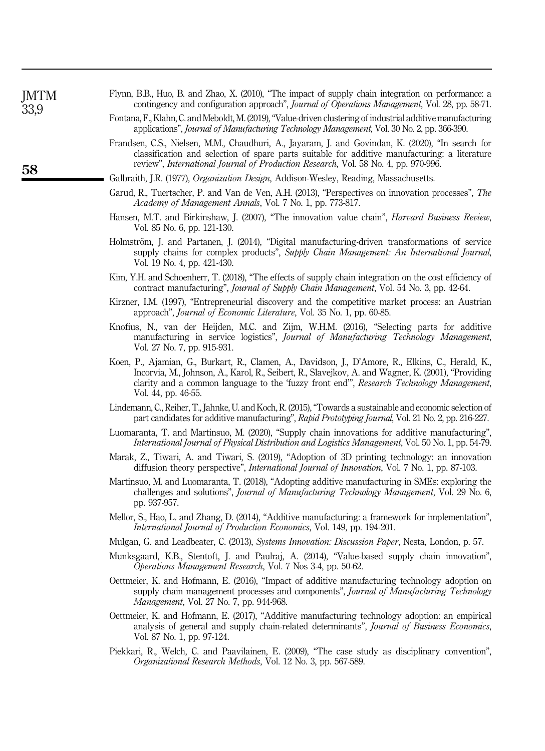<span id="page-18-11"></span>

| Flynn, B.B., Huo, B. and Zhao, X. (2010), "The impact of supply chain integration on performance: a          |
|--------------------------------------------------------------------------------------------------------------|
| contingency and configuration approach", <i>Journal of Operations Management</i> , Vol. 28, pp. 58-71.       |
| Fontana, F., Klahn, C. and Meboldt, M. (2019), "Value-driven clustering of industrial additive manufacturing |

- <span id="page-18-17"></span><span id="page-18-7"></span>applications", Journal of Manufacturing Technology Management, Vol. 30 No. 2, pp. 366-390. Frandsen, C.S., Nielsen, M.M., Chaudhuri, A., Jayaram, J. and Govindan, K. (2020), "In search for classification and selection of spare parts suitable for additive manufacturing: a literature review", International Journal of Production Research, Vol. 58 No. 4, pp. 970-996.
- <span id="page-18-4"></span>Galbraith, J.R. (1977), *Organization Design*, Addison-Wesley, Reading, Massachusetts.
- <span id="page-18-6"></span>Garud, R., Tuertscher, P. and Van de Ven, A.H. (2013), "Perspectives on innovation processes", The Academy of Management Annals, Vol. 7 No. 1, pp. 773-817.
- <span id="page-18-18"></span>Hansen, M.T. and Birkinshaw, J. (2007), "The innovation value chain", *Harvard Business Review*, Vol. 85 No. 6, pp. 121-130.
- <span id="page-18-3"></span>Holmström, J. and Partanen, J. (2014), "Digital manufacturing-driven transformations of service supply chains for complex products", Supply Chain Management: An International Journal, Vol. 19 No. 4, pp. 421-430.
- <span id="page-18-12"></span>Kim, Y.H. and Schoenherr, T. (2018), "The effects of supply chain integration on the cost efficiency of contract manufacturing", Journal of Supply Chain Management, Vol. 54 No. 3, pp. 42-64.
- <span id="page-18-13"></span>Kirzner, I.M. (1997), "Entrepreneurial discovery and the competitive market process: an Austrian approach", Journal of Economic Literature, Vol. 35 No. 1, pp. 60-85.
- <span id="page-18-15"></span>Knofius, N., van der Heijden, M.C. and Zijm, W.H.M. (2016), "Selecting parts for additive manufacturing in service logistics", Journal of Manufacturing Technology Management, Vol. 27 No. 7, pp. 915-931.
- <span id="page-18-14"></span>Koen, P., Ajamian, G., Burkart, R., Clamen, A., Davidson, J., D'Amore, R., Elkins, C., Herald, K., Incorvia, M., Johnson, A., Karol, R., Seibert, R., Slavejkov, A. and Wagner, K. (2001), "Providing clarity and a common language to the 'fuzzy front end'", Research Technology Management, Vol. 44, pp. 46-55.
- <span id="page-18-16"></span>Lindemann, C., Reiher, T., Jahnke, U. and Koch, R. (2015),"Towards a sustainable and economic selection of part candidates for additive manufacturing", Rapid Prototyping Journal, Vol. 21 No. 2, pp. 216-227.
- <span id="page-18-1"></span>Luomaranta, T. and Martinsuo, M. (2020), "Supply chain innovations for additive manufacturing", International Journal of Physical Distribution and Logistics Management, Vol. 50 No. 1, pp. 54-79.
- <span id="page-18-8"></span>Marak, Z., Tiwari, A. and Tiwari, S. (2019), "Adoption of 3D printing technology: an innovation diffusion theory perspective", International Journal of Innovation, Vol. 7 No. 1, pp. 87-103.
- <span id="page-18-0"></span>Martinsuo, M. and Luomaranta, T. (2018), "Adopting additive manufacturing in SMEs: exploring the challenges and solutions", Journal of Manufacturing Technology Management, Vol. 29 No. 6, pp. 937-957.
- <span id="page-18-10"></span>Mellor, S., Hao, L. and Zhang, D. (2014), "Additive manufacturing: a framework for implementation", International Journal of Production Economics, Vol. 149, pp. 194-201.
- <span id="page-18-5"></span>Mulgan, G. and Leadbeater, C. (2013), Systems Innovation: Discussion Paper, Nesta, London, p. 57.
- <span id="page-18-20"></span>Munksgaard, K.B., Stentoft, J. and Paulraj, A. (2014), "Value-based supply chain innovation", Operations Management Research, Vol. 7 Nos 3-4, pp. 50-62.
- <span id="page-18-2"></span>Oettmeier, K. and Hofmann, E. (2016), "Impact of additive manufacturing technology adoption on supply chain management processes and components", Journal of Manufacturing Technology Management, Vol. 27 No. 7, pp. 944-968.
- <span id="page-18-9"></span>Oettmeier, K. and Hofmann, E. (2017), "Additive manufacturing technology adoption: an empirical analysis of general and supply chain-related determinants", Journal of Business Economics, Vol. 87 No. 1, pp. 97-124.
- <span id="page-18-19"></span>Piekkari, R., Welch, C. and Paavilainen, E. (2009), "The case study as disciplinary convention", Organizational Research Methods, Vol. 12 No. 3, pp. 567-589.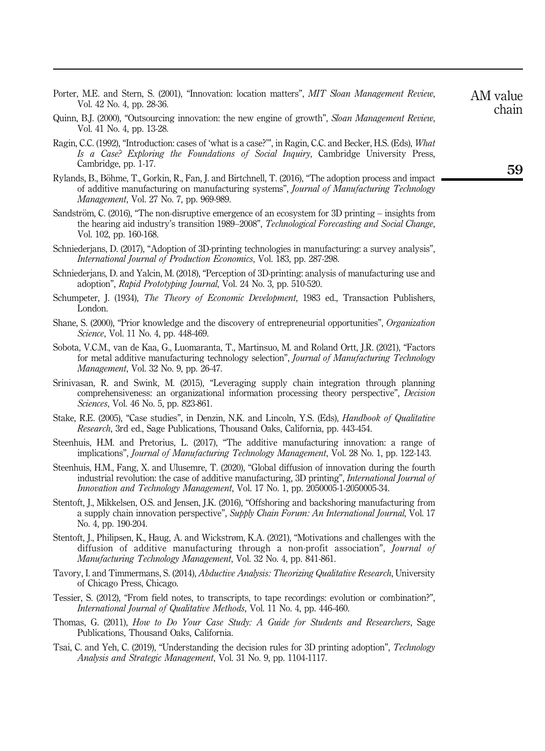- <span id="page-19-4"></span>Porter, M.E. and Stern, S. (2001), "Innovation: location matters", MIT Sloan Management Review, Vol. 42 No. 4, pp. 28-36.
- <span id="page-19-13"></span>Quinn, B.J. (2000), "Outsourcing innovation: the new engine of growth", Sloan Management Review, Vol. 41 No. 4, pp. 13-28.
- <span id="page-19-15"></span>Ragin, C.C. (1992), "Introduction: cases of 'what is a case?"", in Ragin, C.C. and Becker, H.S. (Eds), What Is a Case? Exploring the Foundations of Social Inquiry, Cambridge University Press, Cambridge, pp. 1-17.
- <span id="page-19-10"></span>Rylands, B., Böhme, T., Gorkin, R., Fan, J. and Birtchnell, T. (2016), "The adoption process and impact of additive manufacturing on manufacturing systems", Journal of Manufacturing Technology Management, Vol. 27 No. 7, pp. 969-989.
- <span id="page-19-9"></span>Sandström, C. (2016), "The non-disruptive emergence of an ecosystem for 3D printing – insights from the hearing aid industry's transition 1989–2008", Technological Forecasting and Social Change, Vol. 102, pp. 160-168.
- <span id="page-19-5"></span>Schniederjans, D. (2017), "Adoption of 3D-printing technologies in manufacturing: a survey analysis", International Journal of Production Economics, Vol. 183, pp. 287-298.
- <span id="page-19-6"></span>Schniederjans, D. and Yalcin, M. (2018), "Perception of 3D-printing: analysis of manufacturing use and adoption", Rapid Prototyping Journal, Vol. 24 No. 3, pp. 510-520.
- <span id="page-19-2"></span>Schumpeter, J. (1934), *The Theory of Economic Development*, 1983 ed., Transaction Publishers, London.
- <span id="page-19-12"></span>Shane, S. (2000), "Prior knowledge and the discovery of entrepreneurial opportunities", Organization Science, Vol. 11 No. 4, pp. 448-469.
- <span id="page-19-7"></span>Sobota, V.C.M., van de Kaa, G., Luomaranta, T., Martinsuo, M. and Roland Ortt, J.R. (2021), "Factors for metal additive manufacturing technology selection", Journal of Manufacturing Technology Management, Vol. 32 No. 9, pp. 26-47.
- <span id="page-19-11"></span>Srinivasan, R. and Swink, M. (2015), "Leveraging supply chain integration through planning comprehensiveness: an organizational information processing theory perspective", Decision Sciences, Vol. 46 No. 5, pp. 823-861.
- <span id="page-19-16"></span>Stake, R.E. (2005), "Case studies", in Denzin, N.K. and Lincoln, Y.S. (Eds), *Handbook of Qualitative* Research, 3rd ed., Sage Publications, Thousand Oaks, California, pp. 443-454.
- <span id="page-19-1"></span>Steenhuis, H.M. and Pretorius, L. (2017), "The additive manufacturing innovation: a range of implications", Journal of Manufacturing Technology Management, Vol. 28 No. 1, pp. 122-143.
- <span id="page-19-0"></span>Steenhuis, H.M., Fang, X. and Ulusemre, T. (2020), "Global diffusion of innovation during the fourth industrial revolution: the case of additive manufacturing, 3D printing", International Journal of Innovation and Technology Management, Vol. 17 No. 1, pp. 2050005-1-2050005-34.
- <span id="page-19-3"></span>Stentoft, J., Mikkelsen, O.S. and Jensen, J.K. (2016), "Offshoring and backshoring manufacturing from a supply chain innovation perspective", Supply Chain Forum: An International Journal, Vol. 17 No. 4, pp. 190-204.
- <span id="page-19-14"></span>Stentoft, J., Philipsen, K., Haug, A. and Wickstrøm, K.A. (2021), "Motivations and challenges with the diffusion of additive manufacturing through a non-profit association", Journal of Manufacturing Technology Management, Vol. 32 No. 4, pp. 841-861.
- <span id="page-19-18"></span>Tavory, I. and Timmermans, S. (2014), Abductive Analysis: Theorizing Qualitative Research, University of Chicago Press, Chicago.
- <span id="page-19-19"></span>Tessier, S. (2012), "From field notes, to transcripts, to tape recordings: evolution or combination?", International Journal of Qualitative Methods, Vol. 11 No. 4, pp. 446-460.
- <span id="page-19-17"></span>Thomas, G. (2011), How to Do Your Case Study: A Guide for Students and Researchers, Sage Publications, Thousand Oaks, California.
- <span id="page-19-8"></span>Tsai, C. and Yeh, C. (2019), "Understanding the decision rules for 3D printing adoption", Technology Analysis and Strategic Management, Vol. 31 No. 9, pp. 1104-1117.

AM value chain